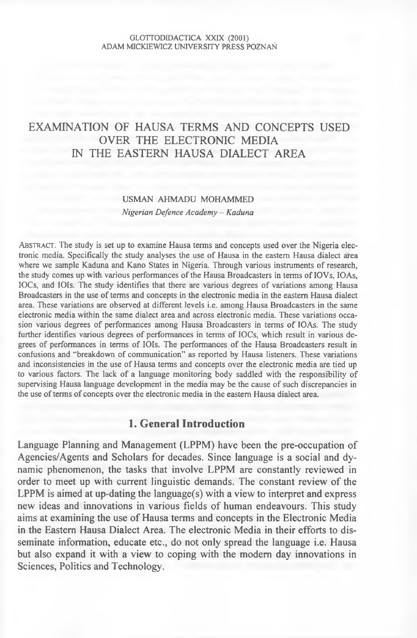# EXAMINATION OF HAUSA TERMS AND CONCEPTS USED OVER THE ELECTRONIC MEDIA IN THE EASTERN HAUSA DIALECT AREA

# **USMAN AHMADU MOHAMMED** *Nigerian Defence Academy - Kaduna*

ABSTRACT. The study is set up to examine Hausa terms and concepts used over the Nigeria electronic media. Specifically the study analyses the use of Hausa in the eastern Hausa dialect area where we sample Kaduna and Kano States in Nigeria. Through various instruments of research, the study comes up with various performances of the Hausa Broadcasters in terms of IOVs, IOAs, IOCs, and IOIs. The study identifies that there are various degrees of variations among Hausa Broadcasters in the use of terms and concepts in the electronic media in the eastern Hausa dialect **area. These variations are observed at different levels i.e. among Hausa Broadcasters in the same electronic media within the same dialect area and across electronic media. These variations occa**sion various degrees of performances among Hausa Broadcasters in terms of IOAs. The study further identifies various degrees of performances in terms of IOCs, which result in various degrees of performances in terms of IOIs. The performances of the Hausa Broadcasters result in confusions and "breakdown of communication" as reported by Hausa listeners. These variations and inconsistencies in the use of Hausa terms and concepts over the electronic media are tied up to various factors. The lack of a language monitoring body saddled with the responsibility of supervising Hausa language development in the media may be the cause of such discrepancies in the use of terms of concepts over the electronic media in the eastern Hausa dialect area.

# **1. General Introduction**

Language Planning and Management (LPPM) have been the pre-occupation of Agencies/Agents and Scholars for decades. Since language is a social and dynamic phenomenon, the tasks that involve LPPM are constantly reviewed in order to meet up with current linguistic demands. The constant review of the LPPM is aimed at up-dating the language(s) with a view to interpret and express new ideas and innovations in various fields of human endeavours. This study aims at examining the use of Hausa terms and concepts in the Electronic Media in the Eastern Hausa Dialect Area. The electronic Media in their efforts to disseminate information, educate etc., do not only spread the language i.e. Hausa but also expand it with a view to coping with the modem day innovations in Sciences, Politics and Technology.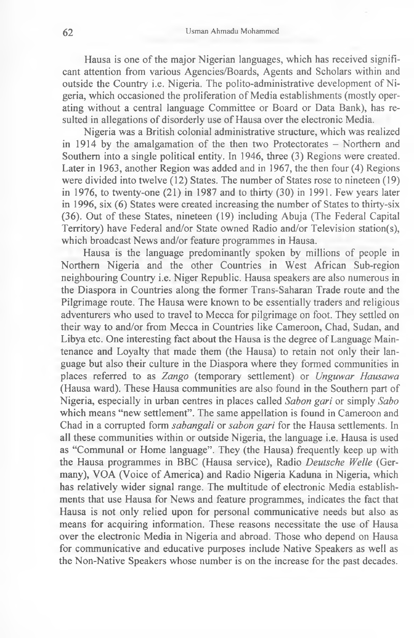Hausa is one of the major Nigerian languages, which has received significant attention from various Agencies/Boards, Agents and Scholars within and outside the Country i.e. Nigeria. The polito-administrative development of Nigeria, which occasioned the proliferation of Media establishments (mostly operating without a central language Committee or Board or Data Bank), has resulted in allegations of disorderly use of Hausa over the electronic Media.

Nigeria was a British colonial administrative structure, which was realized in 1914 by the amalgamation of the then two Protectorates - Northern and Southern into a single political entity. In 1946, three (3) Regions were created. Later in 1963, another Region was added and in 1967, the then four (4) Regions were divided into twelve (12) States. The number of States rose to nineteen (19) in 1976, to twenty-one  $(21)$  in 1987 and to thirty  $(30)$  in 1991. Few years later in 1996, six (6) States were created increasing the number of States to thirty-six (36). Out of these States, nineteen (19) including Abuja (The Federal Capital Territory) have Federal and/or State owned Radio and/or Television station(s), which broadcast News and/or feature programmes in Hausa.

Hausa is the language predominantly spoken by millions of people in Northern Nigeria and the other Countries in West African Sub-region neighbouring Country i.e. Niger Republic. Hausa speakers are also numerous in the Diaspora in Countries along the former Trans-Saharan Trade route and the Pilgrimage route. The Hausa were known to be essentially traders and religious adventurers who used to travel to Mecca for pilgrimage on foot. They settled on their way to and/or from Mecca in Countries like Cameroon, Chad, Sudan, and Libya etc. One interesting fact about the Hausa is the degree of Language Maintenance and Loyalty that made them (the Hausa) to retain not only their language but also their culture in the Diaspora where they formed communities in places referred to as *Zango* (temporary settlement) or *Unguwar Hausawa* (Hausa ward). These Hausa communities are also found in the Southern part of Nigeria, especially in urban centres in places called *Sabon gari* or simply *Sabo* which means "new settlement". The same appellation is found in Cameroon and Chad in a corrupted form *sabangali* or *sabon gari* for the Hausa settlements. In all these communities within or outside Nigeria, the language i.e. Hausa is used as "Communal or Home language". They (the Hausa) frequently keep up with the Hausa programmes in BBC (Hausa service), Radio *Deutsche Welle* (Germany), VOA (Voice of America) and Radio Nigeria Kaduna in Nigeria, which has relatively wider signal range. The multitude of electronic Media establishments that use Hausa for News and feature programmes, indicates the fact that Hausa is not only relied upon for personal communicative needs but also as means for acquiring information. These reasons necessitate the use of Hausa over the electronic Media in Nigeria and abroad. Those who depend on Hausa for communicative and educative purposes include Native Speakers as well as the Non-Native Speakers whose number is on the increase for the past decades.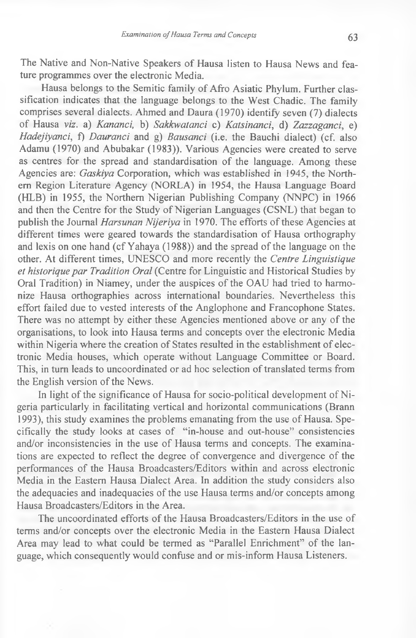The Native and Non-Native Speakers of Hausa listen to Hausa News and feature programmes over the electronic Media.

Hausa belongs to the Semitic family of Afro Asiatic Phylum. Further classification indicates that the language belongs to the West Chadic. The family comprises several dialects. Ahmed and Daura (1970) identify seven (7) dialects of Hausa *viz.* a) *Kancmci,* b) *Sakkwatanci* c) *Katsinanci,* d) *Zazzaganci,* e) *Hadejiyanci,* f) *Dauranci* and g) *Bausanci* (i.e. the Bauchi dialect) (cf. also Adamu (1970) and Abubakar (1983)). Various Agencies were created to serve as centres for the spread and standardisation of the language. Among these Agencies are: *Gaskiya* Corporation, which was established in 1945, the Northern Region Literature Agency (NORLA) in 1954, the Hausa Language Board (HLB) in 1955, the Northern Nigerian Publishing Company (NNPC) in 1966 and then the Centre for the Study of Nigerian Languages (CSNL) that began to publish the Journal *Harsunan Nijeriya* in 1970. The efforts of these Agencies at different times were geared towards the standardisation of Hausa orthography and lexis on one hand (cf Yahaya (1988)) and the spread of the language on the other. At different times, UNESCO and more recently the *Centre Linguistique* et historique par Tradition Oral (Centre for Linguistic and Historical Studies by Oral Tradition) in Niamey, under the auspices of the OAU had tried to harmonize Hausa orthographies across international boundaries. Nevertheless this effort failed due to vested interests of the Anglophone and Francophone States. There was no attempt by either these Agencies mentioned above or any of the organisations, to look into Hausa terms and concepts over the electronic Media within Nigeria where the creation of States resulted in the establishment of electronic Media houses, which operate without Language Committee or Board. This, in turn leads to uncoordinated or ad hoc selection of translated terms from the English version of the News.

In light of the significance of Hausa for socio-political development of Nigeria particularly in facilitating vertical and horizontal communications (Brann 1993), this study examines the problems emanating from the use of Hausa. Specifically the study looks at cases of "in-house and out-house" consistencies and/or inconsistencies in the use of Hausa terms and concepts. The examinations are expected to reflect the degree of convergence and divergence of the performances of the Hausa Broadcasters/Editors within and across electronic Media in the Eastern Hausa Dialect Area. In addition the study considers also the adequacies and inadequacies of the use Hausa terms and/or concepts among Hausa Broadcasters/Editors in the Area.

The uncoordinated efforts of the Hausa Broadcasters/Editors in the use of terms and/or concepts over the electronic Media in the Eastern Hausa Dialect Area may lead to what could be termed as "Parallel Enrichment" of the language, which consequently would confuse and or mis-inform Hausa Listeners.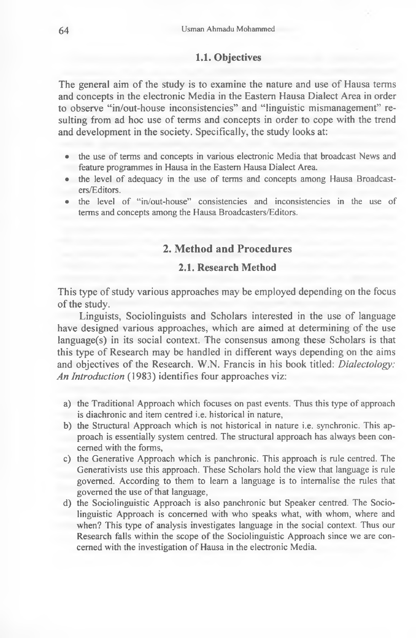### **1.1. Objectives**

The general aim of the study is to examine the nature and use of Hausa terms and concepts in the electronic Media in the Eastern Hausa Dialect Area in order to observe "in/out-house inconsistencies" and "linguistic mismanagement" resulting from ad hoc use of terms and concepts in order to cope with the trend and development in the society. Specifically, the study looks at:

- the use of terms and concepts in various electronic Media that broadcast News and **feature programmes in Hausa in the Eastern Hausa Dialect Area.**
- the level of adequacy in the use of terms and concepts among Hausa Broadcast**ers/Editors.**
- the level of "in/out-house" consistencies and inconsistencies in the use of **terms and concepts among the Hausa Broadcasters/Editors.**

## **2. Method and Procedures**

# **2.1. Research Method**

This type of study various approaches may be employed depending on the focus of the study.

Linguists, Sociolinguists and Scholars interested in the use of language have designed various approaches, which are aimed at determining of the use language(s) in its social context. The consensus among these Scholars is that this type of Research may be handled in different ways depending on the aims and objectives of the Research. W.N. Francis in his book titled: *Dialectology: An Introduction* (1983) identifies four approaches viz:

- a) the Traditional Approach which focuses on past events. Thus this type of approach **is diachronic and item centred i.e. historical in nature,**
- **b) the Structural Approach which is not historical in nature i.e. synchronic. This approach is essentially system centred. The structural approach has always been concerned with the forms,**
- **c) the Generative Approach which is panchronic. This approach is rule centred. The Generativists use this approach. These Scholars hold the view that language is rule governed. A ccording to them to learn a language is to internalise the rules that** governed the use of that language,
- **d) the Sociolinguistic Approach is also panchronic but Speaker centred. The Sociolinguistic Approach is concerned with who speaks what, with whom, where and** when? This type of analysis investigates language in the social context. Thus our Research falls within the scope of the Sociolinguistic Approach since we are concerned with the investigation of Hausa in the electronic Media.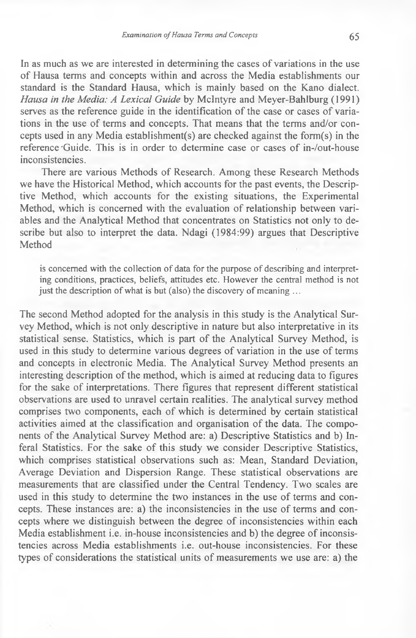In as much as we are interested in determining the cases of variations in the use of Hausa terms and concepts within and across the Media establishments our standard is the Standard Hausa, which is mainly based on the Kano dialect. *Hausa in the Media: A Lexical Guide* by McIntyre and Meyer-Bahlburg (1991) serves as the reference guide in the identification of the case or cases of variations in the use of terms and concepts. That means that the terms and/or concepts used in any Media establishment(s) are checked against the form(s) in the reference 'Guide. This is in order to determine case or cases of in-/out-house inconsistencies.

There are various Methods of Research. Among these Research Methods we have the Historical Method, which accounts for the past events, the Descriptive Method, which accounts for the existing situations, the Experimental Method, which is concerned with the evaluation of relationship between variables and the Analytical Method that concentrates on Statistics not only to describe but also to interpret the data. Ndagi (1984:99) argues that Descriptive Method

is concerned with the collection of data for the purpose of describing and interpreting conditions, practices, beliefs, attitudes etc. However the central method is not just the description of what is but (also) the discovery of meaning ...

The second Method adopted for the analysis in this study is the Analytical Survey Method, which is not only descriptive in nature but also interpretative in its statistical sense. Statistics, which is part of the Analytical Survey Method, is used in this study to determine various degrees of variation in the use of terms and concepts in electronic Media. The Analytical Survey Method presents an interesting description of the method, which is aimed at reducing data to figures for the sake of interpretations. There figures that represent different statistical observations are used to unravel certain realities. The analytical survey method comprises two components, each of which is determined by certain statistical activities aimed at the classification and organisation of the data. The components of the Analytical Survey Method are: a) Descriptive Statistics and b) Inferal Statistics. For the sake of this study we consider Descriptive Statistics, which comprises statistical observations such as: Mean, Standard Deviation, Average Deviation and Dispersion Range. These statistical observations are measurements that are classified under the Central Tendency. Two scales are used in this study to determine the two instances in the use of terms and concepts. These instances are: a) the inconsistencies in the use of terms and concepts where we distinguish between the degree of inconsistencies within each Media establishment i.e. in-house inconsistencies and b) the degree of inconsistencies across Media establishments i.e. out-house inconsistencies. For these types of considerations the statistical units of measurements we use are: a) the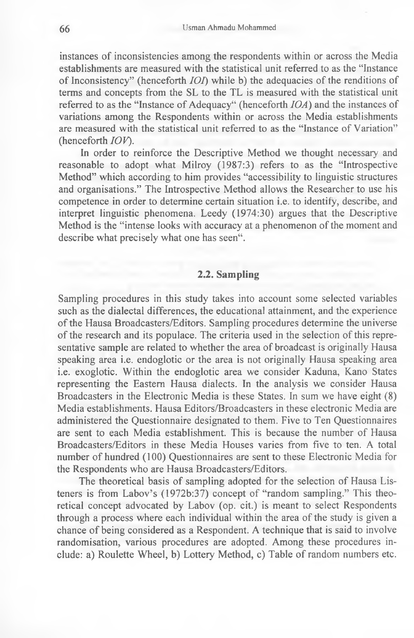instances of inconsistencies among the respondents within or across the Media establishments are measured with the statistical unit referred to as the "Instance of Inconsistency" (henceforth *IOT)* while b) the adequacies of the renditions of terms and concepts from the SL to the TL is measured with the statistical unit referred to as the "Instance of Adequacy" (henceforth *IOA)* and the instances of variations among the Respondents within or across the Media establishments are measured with the statistical unit referred to as the "Instance of Variation" (henceforth *IOV*).

In order to reinforce the Descriptive Method we thought necessary and reasonable to adopt what Milroy (1987:3) refers to as the "Introspective Method" which according to him provides "accessibility to linguistic structures and organisations." The Introspective Method allows the Researcher to use his competence in order to determine certain situation i.e. to identify, describe, and interpret linguistic phenomena. Leedy (1974:30) argues that the Descriptive Method is the "intense looks with accuracy at a phenomenon of the moment and describe what precisely what one has seen".

# **2.2. Sampling**

Sampling procedures in this study takes into account some selected variables such as the dialectal differences, the educational attainment, and the experience of the Hausa Broadcasters/Editors. Sampling procedures determine the universe of the research and its populace. The criteria used in the selection of this representative sample are related to whether the area of broadcast is originally Hausa speaking area i.e. endoglotic or the area is not originally Hausa speaking area i.e. exoglotic. Within the endoglotic area we consider Kaduna, Kano States representing the Eastern Hausa dialects. In the analysis we consider Hausa Broadcasters in the Electronic Media is these States. In sum we have eight (8) Media establishments. Hausa Editors/Broadcasters in these electronic Media are administered the Questionnaire designated to them. Five to Ten Questionnaires are sent to each Media establishment. This is because the number of Hausa Broadcasters/Editors in these Media Houses varies from five to ten. A total number of hundred (100) Questionnaires are sent to these Electronic Media for the Respondents who are Hausa Broadcasters/Editors.

The theoretical basis of sampling adopted for the selection of Hausa Listeners is from Labov's (1972b:37) concept of "random sampling." This theoretical concept advocated by Labov (op. cit.) is meant to select Respondents through a process where each individual within the area of the study is given a chance of being considered as a Respondent. A technique that is said to involve randomisation, various procedures are adopted. Among these procedures include: a) Roulette Wheel, b) Lottery Method, c) Table of random numbers etc.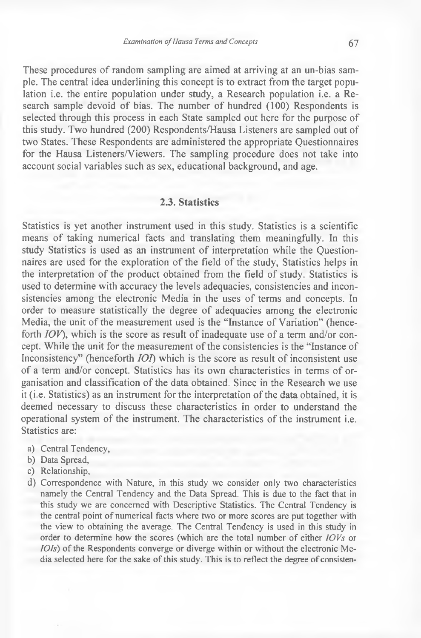These procedures of random sampling are aimed at arriving at an un-bias sample. The central idea underlining this concept is to extract from the target population i.e. the entire population under study, a Research population i.e. a Research sample devoid of bias. The number of hundred (100) Respondents is selected through this process in each State sampled out here for the purpose of this study. Two hundred (200) Respondents/Hausa Listeners are sampled out of two States. These Respondents are administered the appropriate Questionnaires for the Hausa Listeners/Viewers. The sampling procedure does not take into account social variables such as sex, educational background, and age.

## **2.3. Statistics**

Statistics is yet another instrument used in this study. Statistics is a scientific means of taking numerical facts and translating them meaningfully. In this study Statistics is used as an instrument of interpretation while the Questionnaires are used for the exploration of the field of the study, Statistics helps in the interpretation of the product obtained from the field of study. Statistics is used to determine with accuracy the levels adequacies, consistencies and inconsistencies among the electronic Media in the uses of terms and concepts. In order to measure statistically the degree of adequacies among the electronic Media, the unit of the measurement used is the "Instance of Variation" (henceforth *IOV),* which is the score as result of inadequate use of a term and/or concept. While the unit for the measurement of the consistencies is the "Instance of Inconsistency" (henceforth *IOI)* which is the score as result of inconsistent use of a term and/or concept. Statistics has its own characteristics in terms of organisation and classification of the data obtained. Since in the Research we use it (i.e. Statistics) as an instrument for the interpretation of the data obtained, it is deemed necessary to discuss these characteristics in order to understand the operational system of the instrument. The characteristics of the instrument i.e. Statistics are:

- **a) Central Tendency,**
- **b) Data Spread,**
- **c) Relationship,**
- **d)** Correspondence with Nature, in this study we consider only two characteristics **namely the Central Tendency and the Data Spread. This is due to the fact that in** this study we are concerned with Descriptive Statistics. The Central Tendency is the central point of numerical facts where two or more scores are put together with **the view to obtaining the average. The Central Tendency is used in this study in order to determine how the scores (which are the total number of either** *lOVs* **or** *IOIs*) of the Respondents converge or diverge within or without the electronic Media selected here for the sake of this study. This is to reflect the degree of consisten-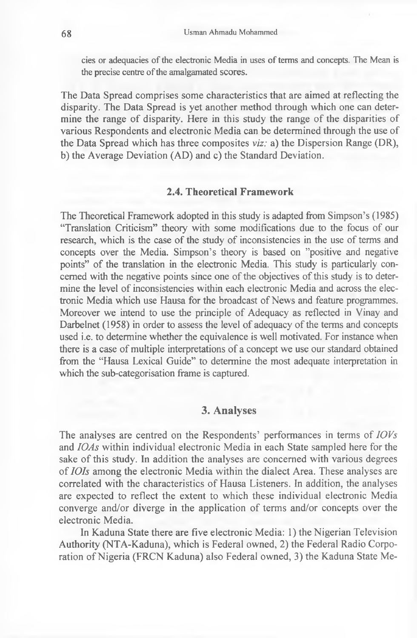cies or adequacies of the electronic Media in uses of terms and concepts. The Mean is the precise centre of the amalgamated scores.

The Data Spread comprises some characteristics that are aimed at reflecting the disparity. The Data Spread is yet another method through which one can determine the range of disparity. Here in this study the range of the disparities of various Respondents and electronic Media can be determined through the use of the Data Spread which has three composites *viz:* a) the Dispersion Range (DR), b) the Average Deviation (AD) and c) the Standard Deviation.

# **2.4. Theoretical Framework**

The Theoretical Framework adopted in this study is adapted from Simpson's (1985) "Translation Criticism" theory with some modifications due to the focus of our research, which is the case of the study of inconsistencies in the use of terms and concepts over the Media. Simpson's theory is based on ''positive and negative points" of the translation in the electronic Media. This study is particularly concerned with the negative points since one of the objectives of this study is to determine the level of inconsistencies within each electronic Media and across the electronic Media which use Hausa for the broadcast of News and feature programmes. Moreover we intend to use the principle of Adequacy as reflected in Vinay and Darbelnet (1958) in order to assess the level of adequacy of the terms and concepts used i.e. to determine whether the equivalence is well motivated. For instance when there is a case of multiple interpretations of a concept we use our standard obtained from the "Hausa Lexical Guide" to determine the most adequate interpretation in which the sub-categorisation frame is captured.

## **3. Analyses**

The analyses are centred on the Respondents' performances in terms of *IOVs* and *IOAs* within individual electronic Media in each State sampled here for the sake of this study. In addition the analyses are concerned with various degrees of *IOIs* among the electronic Media within the dialect Area. These analyses are correlated with the characteristics of Hausa Listeners. In addition, the analyses are expected to reflect the extent to which these individual electronic Media converge and/or diverge in the application of terms and/or concepts over the electronic Media.

In Kaduna State there are five electronic Media: 1) the Nigerian Television Authority (NTA-Kaduna), which is Federal owned, 2) the Federal Radio Corporation of Nigeria (FRCN Kaduna) also Federal owned, 3) the Kaduna State Me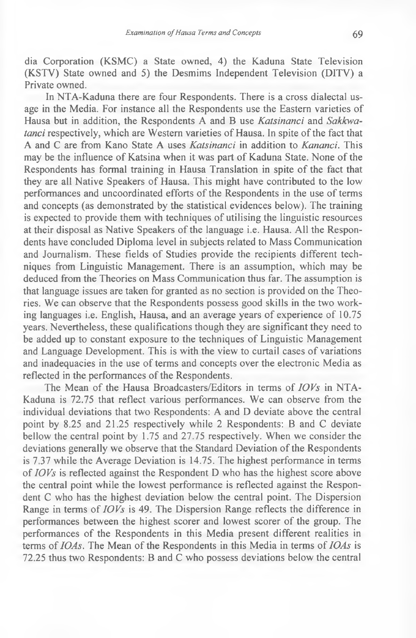dia Corporation (KSMC) a State owned, 4) the Kaduna State Television (KSTV) State owned and 5) the Desmims Independent Television (DITV) a Private owned.

In NTA-Kaduna there are four Respondents. There is a cross dialectal usage in the Media. For instance all the Respondents use the Eastern varieties of Hausa but in addition, the Respondents A and B use *Katsinanci* and *Sakkwatanci* respectively, which are Western varieties of Hausa. In spite of the fact that A and C are from Kano State A uses *Katsinanci* in addition to *Kananci.* This may be the influence of Katsina when it was part of Kaduna State. None of the Respondents has formal training in Hausa Translation in spite of the fact that they are all Native Speakers of Hausa. This might have contributed to the low performances and uncoordinated efforts of the Respondents in the use of terms and concepts (as demonstrated by the statistical evidences below). The training is expected to provide them with techniques of utilising the linguistic resources at their disposal as Native Speakers of the language i.e. Hausa. All the Respondents have concluded Diploma level in subjects related to Mass Communication and Journalism. These fields of Studies provide the recipients different techniques from Linguistic Management. There is an assumption, which may be deduced from the Theories on Mass Communication thus far. The assumption is that language issues are taken for granted as no section is provided on the Theories. We can observe that the Respondents possess good skills in the two working languages i.e. English, Hausa, and an average years of experience of 10.75 years. Nevertheless, these qualifications though they are significant they need to be added up to constant exposure to the techniques of Linguistic Management and Language Development. This is with the view to curtail cases of variations and inadequacies in the use of terms and concepts over the electronic Media as reflected in the performances of the Respondents.

The Mean of the Hausa Broadcasters/Editors in terms of *IOVs* in NTA-Kaduna is 72.75 that reflect various performances. We can observe from the individual deviations that two Respondents: A and D deviate above the central point by 8.25 and 21.25 respectively while 2 Respondents: B and C deviate bellow the central point by 1.75 and 27.75 respectively. When we consider the deviations generally we observe that the Standard Deviation of the Respondents is 7.37 while the Average Deviation is 14.75. The highest performance in terms of *IOVs* is reflected against the Respondent D who has the highest score above the central point while the lowest performance is reflected against the Respondent C who has the highest deviation below the central point. The Dispersion Range in terms of *IOVs* is 49. The Dispersion Range reflects the difference in performances between the highest scorer and lowest scorer of the group. The performances of the Respondents in this Media present different realities in terms of *IOAs.* The Mean of the Respondents in this Media in terms of *IOAs* is 72.25 thus two Respondents: B and C who possess deviations below the central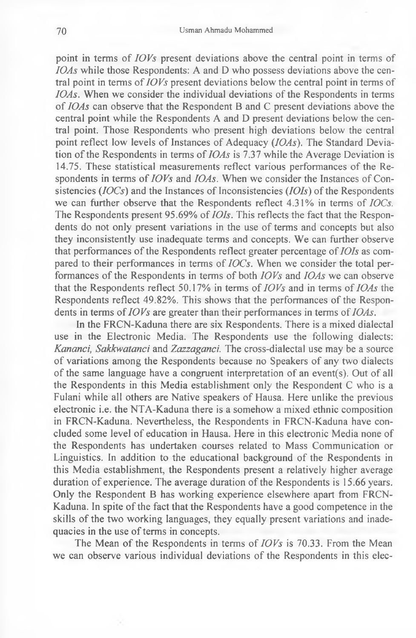point in terms of *IOVs* present deviations above the central point in terms of *IOAs* while those Respondents: A and D who possess deviations above the central point in terms of *IOVs* present deviations below the central point in terms of *IOAs.* When we consider the individual deviations of the Respondents in terms of *IOAs* can observe that the Respondent B and C present deviations above the central point while the Respondents A and D present deviations below the central point. Those Respondents who present high deviations below the central point reflect low levels of Instances of Adequacy *(IOAs).* The Standard Deviation of the Respondents in terms of *IOAs* is 7.37 while the Average Deviation is 14.75. These statistical measurements reflect various performances of the Respondents in terms of *IOVs* and *IOAs.* When we consider the Instances of Consistencies (*IOCs*) and the Instances of Inconsistencies *(IOIs)* of the Respondents we can further observe that the Respondents reflect 4.31% in terms of *IOCs.* The Respondents present 95.69% of *IOIs.* This reflects the fact that the Respondents do not only present variations in the use of terms and concepts but also they inconsistently use inadequate terms and concepts. We can further observe that performances of the Respondents reflect greater percentage of *IOIs* as compared to their performances in terms of *IOCs.* When we consider the total performances of the Respondents in terms of both *IOVs* and *IOAs* we can observe that the Respondents reflect 50.17% in terms of *IOVs* and in terms of *IOAs* the Respondents reflect 49.82%. This shows that the performances of the Respondents in terms of *IOVs* are greater than their performances in terms of *IOAs.*

In the FRCN-Kaduna there are six Respondents. There is a mixed dialectal use in the Electronic Media. The Respondents use the following dialects: *Kananci, Sakkwatanci* and *Zazzaganci.* The cross-dialectal use may be a source of variations among the Respondents because no Speakers of any two dialects of the same language have a congruent interpretation of an event(s). Out of all the Respondents in this Media establishment only the Respondent C who is a Fulani while all others are Native speakers of Hausa. Here unlike the previous electronic i.e. the NTA-Kaduna there is a somehow a mixed ethnic composition in FRCN-Kaduna. Nevertheless, the Respondents in FRCN-Kaduna have concluded some level of education in Hausa. Here in this electronic Media none of the Respondents has undertaken courses related to Mass Communication or Linguistics. In addition to the educational background of the Respondents in this Media establishment, the Respondents present a relatively higher average duration of experience. The average duration of the Respondents is 15.66 years. Only the Respondent B has working experience elsewhere apart from FRCN-Kaduna. In spite of the fact that the Respondents have a good competence in the skills of the two working languages, they equally present variations and inadequacies in the use of terms in concepts.

The Mean of the Respondents in terms of *IOVs* is 70.33. From the Mean we can observe various individual deviations of the Respondents in this elec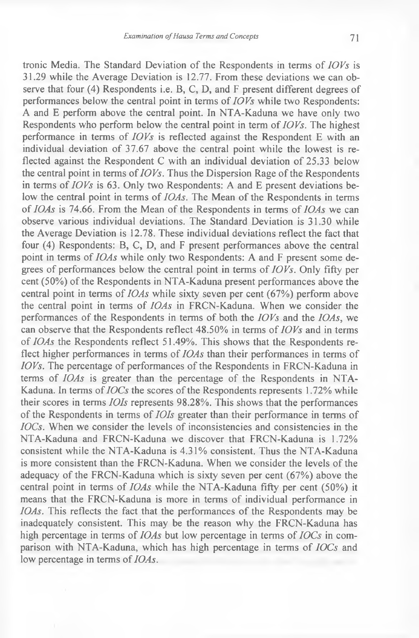tronic Media. The Standard Deviation of the Respondents in terms of *IOVs* is 31.29 while the Average Deviation is 12.77. From these deviations we can observe that four (4) Respondents i.e. B, C, D, and F present different degrees of performances below the central point in terms of *IOVs* while two Respondents: A and E perform above the central point. In NTA-Kaduna we have only two Respondents who perform below the central point in term of *IOVs.* The highest performance in terms of *IOVs* is reflected against the Respondent E with an individual deviation of 37.67 above the central point while the lowest is reflected against the Respondent C with an individual deviation of 25.33 below the central point in terms of *IOVs.* Thus the Dispersion Rage of the Respondents in terms of *IOVs* is 63. Only two Respondents: A and E present deviations below the central point in terms of *IOAs.* The Mean of the Respondents in terms of *IOAs* is 74.66. From the Mean of the Respondents in terms of *IOAs* we can observe various individual deviations. The Standard Deviation is 31.30 while the Average Deviation is 12.78. These individual deviations reflect the fact that four (4) Respondents: B, C, D, and F present performances above the central point in terms of *IOAs* while only two Respondents: A and F present some degrees of performances below the central point in terms of  $IOVs$ . Only fifty per cent (50%) of the Respondents in NTA-Kaduna present performances above the central point in terms of *IOAs* while sixty seven per cent (67%) perform above the central point in terms of *IOAs* in FRCN-Kaduna. When we consider the performances of the Respondents in terms of both the *IOVs* and the *IOAs,* we can observe that the Respondents reflect 48.50% in terms of *IOVs* and in terms of *IOAs* the Respondents reflect 51.49%. This shows that the Respondents reflect higher performances in terms of *IOAs* than their performances in terms of *IOVs.* The percentage of performances of the Respondents in FRCN-Kaduna in terms of *IOAs* is greater than the percentage of the Respondents in NTA-Kaduna. In terms of *IOCs* the scores of the Respondents represents 1.72% while their scores in terms *IOIs* represents 98.28%. This shows that the performances of the Respondents in terms of *IOIs* greater than their performance in terms of *IOCs.* When we consider the levels of inconsistencies and consistencies in the NTA-Kaduna and FRCN-Kaduna we discover that FRCN-Kaduna is 1.72% consistent while the NTA-Kaduna is 4.31% consistent. Thus the NTA-Kaduna is more consistent than the FRCN-Kaduna. When we consider the levels of the adequacy of the FRCN-Kaduna which is sixty seven per cent (67%) above the central point in terms of *IOAs* while the NTA-Kaduna fifty per cent (50%) it means that the FRCN-Kaduna is more in terms of individual performance in *IOAs.* This reflects the fact that the performances of the Respondents may be inadequately consistent. This may be the reason why the FRCN-Kaduna has high percentage in terms of *IOAs* but low percentage in terms of *IOCs* in comparison with NTA-Kaduna, which has high percentage in terms of *IOCs* and low percentage in terms of *IOAs.*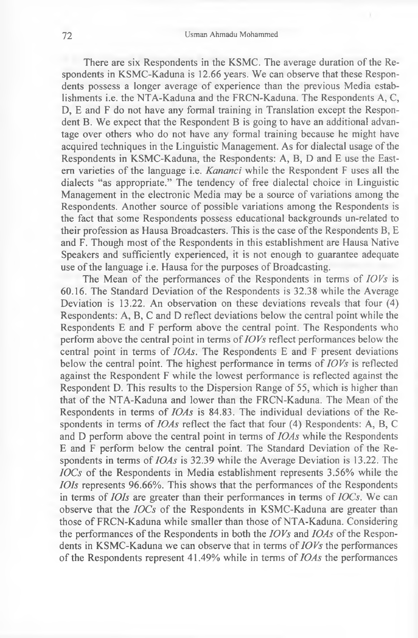There are six Respondents in the KSMC. The average duration of the Respondents in KSMC-Kaduna is 12.66 years. We can observe that these Respondents possess a longer average of experience than the previous Media establishments i.e. the NTA-Kaduna and the FRCN-Kaduna. The Respondents A, C, D, E and F do not have any formal training in Translation except the Respondent B. We expect that the Respondent B is going to have an additional advantage over others who do not have any formal training because he might have acquired techniques in the Linguistic Management. As for dialectal usage of the Respondents in KSMC-Kaduna, the Respondents: A, B, D and E use the Eastern varieties of the language i.e. *Kananci* while the Respondent F uses all the dialects "as appropriate." The tendency of free dialectal choice in Linguistic Management in the electronic Media may be a source of variations among the Respondents. Another source of possible variations among the Respondents is the fact that some Respondents possess educational backgrounds un-related to their profession as Hausa Broadcasters. This is the case of the Respondents B, E and F. Though most of the Respondents in this establishment are Hausa Native Speakers and sufficiently experienced, it is not enough to guarantee adequate use of the language i.e. Hausa for the purposes of Broadcasting.

The Mean of the performances of the Respondents in terms of *IOVs* is 60.16. The Standard Deviation of the Respondents is 32.38 while the Average Deviation is 13.22. An observation on these deviations reveals that four (4) Respondents: A, B, C and D reflect deviations below the central point while the Respondents E and F perform above the central point. The Respondents who perform above the central point in terms of *IOVs* reflect performances below the central point in terms of *IOAs.* The Respondents E and F present deviations below the central point. The highest performance in terms of *IOVs* is reflected against the Respondent F while the lowest performance is reflected against the Respondent D. This results to the Dispersion Range of 55, which is higher than that of the NTA-Kaduna and lower than the FRCN-Kaduna. The Mean of the Respondents in terms of *IOAs* is 84.83. The individual deviations of the Respondents in terms of *IOAs* reflect the fact that four (4) Respondents: A, B, C and D perform above the central point in terms of *IOAs* while the Respondents E and F perform below the central point. The Standard Deviation of the Respondents in terms of *IOAs* is 32.39 while the Average Deviation is 13.22. The *IOCs* of the Respondents in Media establishment represents 3.56% while the *IOIs* represents *96.66%.* This shows that the performances of the Respondents in terms of *IOIs* are greater than their performances in terms of *IOCs.* We can observe that the *IOCs* of the Respondents in KSMC-Kaduna are greater than those of FRCN-Kaduna while smaller than those of NTA-Kaduna. Considering the performances of the Respondents in both the *IOVs* and *IOAs* of the Respondents in KSMC-Kaduna we can observe that in terms of *IOVs* the performances of the Respondents represent 41.49% while in terms of *IOAs* the performances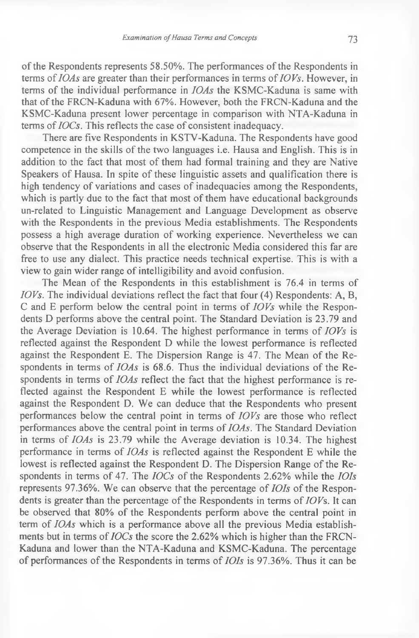of the Respondents represents 58.50%. The performances of the Respondents in terms of *IOAs* are greater than their performances in terms of *IOVs.* However, in terms of the individual performance in *IOAs* the KSMC-Kaduna is same with that of the FRCN-Kaduna with 67%. However, both the FRCN-Kaduna and the KSMC-Kaduna present lower percentage in comparison with NTA-Kaduna in terms of *IOCs.* This reflects the case of consistent inadequacy.

There are five Respondents in KSTV-Kaduna. The Respondents have good competence in the skills of the two languages i.e. Hausa and English. This is in addition to the fact that most of them had formal training and they are Native Speakers of Hausa. In spite of these linguistic assets and qualification there is high tendency of variations and cases of inadequacies among the Respondents, which is partly due to the fact that most of them have educational backgrounds un-related to Linguistic Management and Language Development as observe with the Respondents in the previous Media establishments. The Respondents possess a high average duration of working experience. Nevertheless we can observe that the Respondents in all the electronic Media considered this far are free to use any dialect. This practice needs technical expertise. This is with a view to gain wider range of intelligibility and avoid confusion.

The Mean of the Respondents in this establishment is 76.4 in terms of *IOVs.* The individual deviations reflect the fact that four (4) Respondents: A, B, C and E perform below the central point in terms of *IOVs* while the Respondents D performs above the central point. The Standard Deviation is 23.79 and the Average Deviation is 10.64. The highest performance in terms of *IOVs* is reflected against the Respondent D while the lowest performance is reflected against the Respondent E. The Dispersion Range is 47. The Mean of the Respondents in terms of *IOAs* is 68.6. Thus the individual deviations of the Respondents in terms of *IOAs* reflect the fact that the highest performance is reflected against the Respondent E while the lowest performance is reflected against the Respondent D. We can deduce that the Respondents who present performances below the central point in terms of *IOVs* are those who reflect performances above the central point in terms of *IOAs.* The Standard Deviation in terms of *IOAs* is 23.79 while the Average deviation is 10.34. The highest performance in terms of *IOAs* is reflected against the Respondent E while the lowest is reflected against the Respondent D. The Dispersion Range of the Respondents in terms of 47. The *IOCs* of the Respondents 2.62% while the *IOIs* represents 97.36%. We can observe that the percentage of *IOIs* of the Respondents is greater than the percentage of the Respondents in terms of *IOVs.* It can be observed that 80% of the Respondents perform above the central point in term of *IOAs* which is a performance above all the previous Media establishments but in terms of *IOCs* the score the 2.62% which is higher than the FRCN-Kaduna and lower than the NTA-Kaduna and KSMC-Kaduna. The percentage of performances of the Respondents in terms of *IOIs* is 97.36%. Thus it can be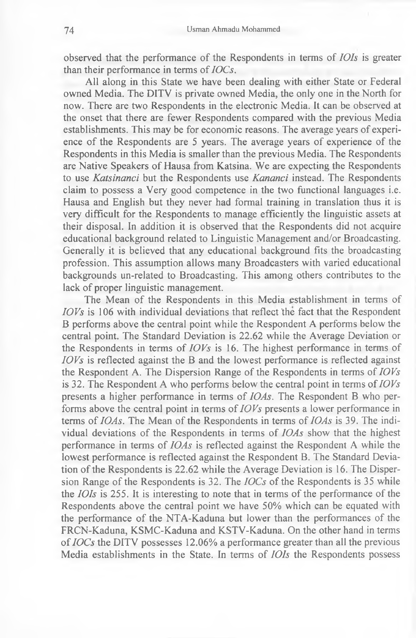observed that the performance of the Respondents in terms of *IOIs* is greater than their performance in terms of *IOCs,*

All along in this State we have been dealing with either State or Federal owned Media. The DITV is private owned Media, the only one in the North for now. There are two Respondents in the electronic Media. It can be observed at the onset that there are fewer Respondents compared with the previous Media establishments. This may be for economic reasons. The average years of experience of the Respondents are 5 years. The average years of experience of the Respondents in this Media is smaller than the previous Media. The Respondents are Native Speakers of Hausa from Katsina. We are expecting the Respondents to use *Katsinanci* but the Respondents use *Kananci* instead. The Respondents claim to possess a Very good competence in the two functional languages i.e. Hausa and English but they never had formal training in translation thus it is very difficult for the Respondents to manage efficiently the linguistic assets at their disposal. In addition it is observed that the Respondents did not acquire educational background related to Linguistic Management and/or Broadcasting. Generally it is believed that any educational background fits the broadcasting profession. This assumption allows many Broadcasters with varied educational backgrounds un-related to Broadcasting. This among others contributes to the lack of proper linguistic management.

The Mean of the Respondents in this Media establishment in terms of *IOVs* is 106 with individual deviations that reflect the fact that the Respondent B performs above the central point while the Respondent A performs below the central point. The Standard Deviation is 22.62 while the Average Deviation or the Respondents in terms of *IOVs* is 16. The highest performance in terms of *IOVs* is reflected against the B and the lowest performance is reflected against the Respondent A. The Dispersion Range of the Respondents in terms of *IOVs* is 32. The Respondent A who performs below the central point in terms of *IOVs* presents a higher performance in terms of *IOAs.* The Respondent B who performs above the central point in terms of *IOVs* presents a lower performance in terms of *IOAs*. The Mean of the Respondents in terms of *IOAs* is 39. The individual deviations of the Respondents in terms of *IOAs* show that the highest performance in terms of *IOAs* is reflected against the Respondent A while the lowest performance is reflected against the Respondent B. The Standard Deviation of the Respondents is 22.62 while the Average Deviation is 16. The Dispersion Range of the Respondents is 32. The *IOCs* of the Respondents is 35 while the *IOIs* is 255. It is interesting to note that in terms of the performance of the Respondents above the central point we have 50% which can be equated with the performance of the NTA-Kaduna but lower than the performances of the FRCN-Kaduna, KSMC-Kaduna and KSTV-Kaduna. On the other hand in terms of *IOCs* the DITV possesses 12.06% a performance greater than all the previous Media establishments in the State. In terms of *IOIs* the Respondents possess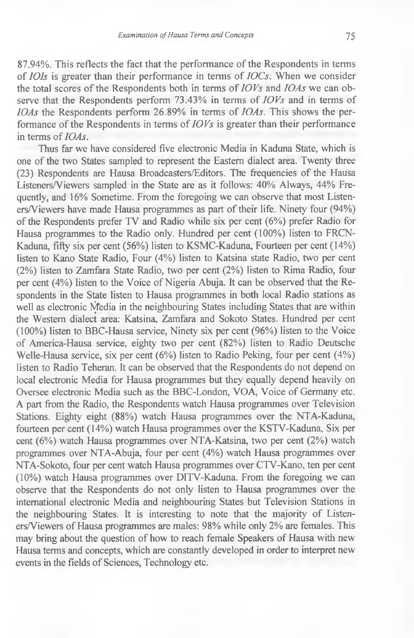87.94%. This reflects the fact that the performance of the Respondents in terms of *IOIs* is greater than their performance in terms of *IOCs.* When we consider the total scores of the Respondents both in terms of *IOVs* and *IOAs* we can observe that the Respondents perform 73.43% in terms of *IOVs* and in terms of *IOAs* the Respondents perform 26.89% in terms of *IOAs.* This shows the performance of the Respondents in terms of *IOVs* is greater than their performance in terms of *IOAs.*

Thus far we have considered five electronic Media in Kaduna State, which is one of the two States sampled to represent the Eastern dialect area. Twenty three (23) Respondents are Hausa Broadcasters/Editors. The frequencies of the Hausa Listeners/Viewers sampled in the State are as it follows: 40% Always, 44% Frequently, and 16% Sometime. From the foregoing we can observe that most Listeners/Viewers have made Hausa programmes as part of their life. Ninety four (94%) of the Respondents prefer TV and Radio while six per cent (6%) prefer Radio for Hausa programmes to the Radio only. Hundred per cent (100%) listen to FRCN-Kaduna, fifty six per cent (56%) listen to KSMC-Kaduna, Fourteen per cent (14%) listen to Kano State Radio, Four (4%) listen to Katsina state Radio, two per cent (2%) listen to Zamfara State Radio, two per cent (2%) listen to Rima Radio, four per cent (4%) listen to the Voice of Nigeria Abuja. It can be observed that the Respondents in the State listen to Hausa programmes in both local Radio stations as well as electronic Media in the neighbouring States including States that are within the Western dialect area: Katsina, Zamfara and Sokoto States. Hundred per cent (100%) listen to BBC-Hausa service, Ninety six per cent (96%) listen to the Voice of America-Hausa service, eighty two per cent (82%) listen to Radio Deutsche Welle-Hausa service, six per cent (6%) listen to Radio Peking, four per cent (4%) listen to Radio Teheran. It can be observed that the Respondents do not depend on local electronic Media for Hausa programmes but they equally depend heavily on Oversee electronic Media such as the BBC-London, VOA, Voice of Germany etc. A part from the Radio, the Respondents watch Hausa programmes over Television Stations. Eighty eight (88%) watch Hausa programmes over the NTA-Kaduna, fourteen per cent (14%) watch Hausa programmes over the KSTV-Kaduna, Six per cent (6%) watch Hausa programmes over NTA-Katsina, two per cent (2%) watch programmes over NTA-Abuja, four per cent (4%) watch Hausa programmes over NTA-Sokoto, four per cent watch Hausa programmes over CTV-Kano, ten per cent (10%) watch Hausa programmes over DITV-Kaduna. From the foregoing we can observe that the Respondents do not only listen to Hausa programmes over the international electronic Media and neighbouring States but Television Stations in the neighbouring States. It is interesting to note that the majority of Listeners/Viewers of Hausa programmes are males: 98% while only 2% are females. This may bring about the question of how to reach female Speakers of Hausa with new Hausa terms and concepts, which are constantly developed in order to interpret new events in the fields of Sciences, Technology etc.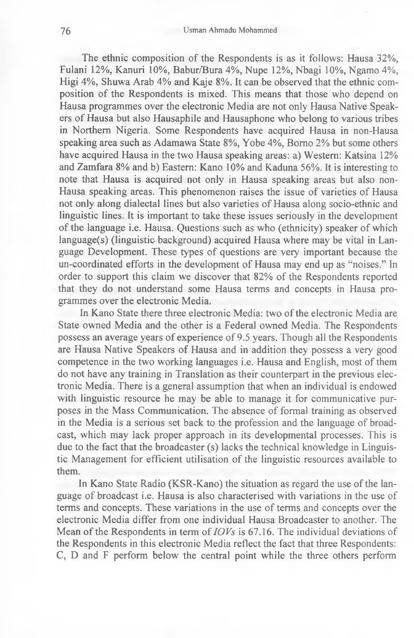The ethnic composition of the Respondents is as it follows: Hausa 32%, Fulani 12%, Kanuri 10%, Babur/Bura 4%, Nupe 12%, Nbagi 10%, Ngamo 4%, Higi 4%, Shuwa Arab 4% and Kaje 8%. It can be observed that the ethnic composition of the Respondents is mixed. This means that those who depend on Hausa programmes over the electronic Media are not only Hausa Native Speakers of Hausa but also Hausaphile and Hausaphone who belong to various tribes in Northern Nigeria. Some Respondents have acquired Hausa in non-Hausa speaking area such as Adamawa State 8%, Yobe 4%, Bomo 2% but some others have acquired Hausa in the two Hausa speaking areas: a) Western: Katsina 12% and Zamfara 8% and b) Eastern: Kano 10% and Kaduna 56%. It is interesting to note that Hausa is acquired not only in Hausa speaking areas but also non-Hausa speaking areas. This phenomenon raises the issue of varieties of Hausa not only along dialectal lines but also varieties of Hausa along socio-ethnic and linguistic lines. It is important to take these issues seriously in the development of the language i.e. Hausa. Questions such as who (ethnicity) speaker of which language(s) (linguistic background) acquired Hausa where may be vital in Language Development. These types of questions are very important because the un-coordinated efforts in the development of Hausa may end up as "noises." In order to support this claim we discover that 82% of the Respondents reported that they do not understand some Hausa terms and concepts in Hausa programmes over the electronic Media.

In Kano State there three electronic Media: two of the electronic Media are State owned Media and the other is a Federal owned Media. The Respondents possess an average years of experience of 9.5 years. Though all the Respondents are Hausa Native Speakers of Hausa and in addition they possess a very good competence in the two working languages i.e. Hausa and English, most of them do not have any training in Translation as their counterpart in the previous electronic Media. There is a general assumption that when an individual is endowed with linguistic resource he may be able to manage it for communicative purposes in the Mass Communication. The absence of formal training as observed in the Media is a serious set back to the profession and the language of broadcast, which may lack proper approach in its developmental processes. This is due to the fact that the broadcaster (s) lacks the technical knowledge in Linguistic Management for efficient utilisation of the linguistic resources available to them.

In Kano State Radio (KSR-Kano) the situation as regard the use of the language of broadcast i.e. Hausa is also characterised with variations in the use of terms and concepts. These variations in the use of terms and concepts over the electronic Media differ from one individual Hausa Broadcaster to another. The Mean of the Respondents in term of *IOVs* is 67.16. The individual deviations of the Respondents in this electronic Media reflect the fact that three Respondents: C, D and F perform below the central point while the three others perform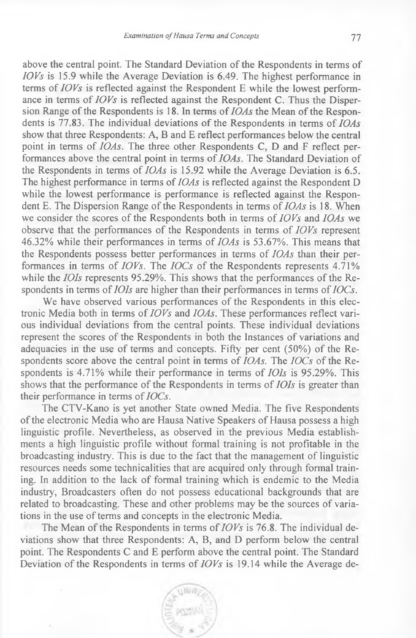above the central point. The Standard Deviation of the Respondents in terms of *IOVs* is 15.9 while the Average Deviation is 6.49. The highest performance in terms of *IOVs* is reflected against the Respondent E while the lowest performance in terms of *IOVs* is reflected against the Respondent C. Thus the Dispersion Range of the Respondents is 18. In terms of *IOAs* the Mean of the Respondents is 77.83. The individual deviations of the Respondents in terms of *IOAs* show that three Respondents: A, B and E reflect performances below the central point in terms of *IOAs*. The three other Respondents C, D and F reflect performances above the central point in terms of *IOAs.* The Standard Deviation of the Respondents in terms of *IOAs* is 15.92 while the Average Deviation is 6.5. The highest performance in terms of *IOAs* is reflected against the Respondent D while the lowest performance is performance is reflected against the Respondent E. The Dispersion Range of the Respondents in terms of *IOAs* is 18. When we consider the scores of the Respondents both in terms of *IOVs* and *IOAs* we observe that the performances of the Respondents in terms of *IOVs* represent 46.32% while their performances in terms of *IOAs* is 53.67%. This means that the Respondents possess better performances in terms of *IOAs* than their performances in terms of *IOVs.* The *IOCs* of the Respondents represents 4.71% while the *IOIs* represents 95.29%. This shows that the performances of the Respondents in terms of *IOIs* are higher than their performances in terms of *IOCs.*

We have observed various performances of the Respondents in this electronic Media both in terms of *IOVs* and *IOAs.* These performances reflect various individual deviations from the central points. These individual deviations represent the scores of the Respondents in both the Instances of variations and adequacies in the use of terms and concepts. Fifty per cent (50%) of the Respondents score above the central point in terms of *IOAs.* The *IOCs* of the Respondents is 4.71% while their performance in terms of *IOIs* is 95.29%. This shows that the performance of the Respondents in terms of *IOIs* is greater than their performance in terms of *IOCs.*

The CTV-Kano is yet another State owned Media. The five Respondents of the electronic Media who are Hausa Native Speakers of Hausa possess a high linguistic profile. Nevertheless, as observed in the previous Media establishments a high linguistic profile without formal training is not profitable in the broadcasting industry. This is due to the fact that the management of linguistic resources needs some technicalities that are acquired only through formal training. In addition to the lack of formal training which is endemic to the Media industry, Broadcasters often do not possess educational backgrounds that are related to broadcasting. These and other problems may be the sources of variations in the use of terms and concepts in the electronic Media.

The Mean of the Respondents in terms of *IOVs* is 76.8. The individual deviations show that three Respondents: A, B, and D perform below the central point. The Respondents C and E perform above the central point. The Standard Deviation of the Respondents in terms of *IOVs* is 19.14 while the Average de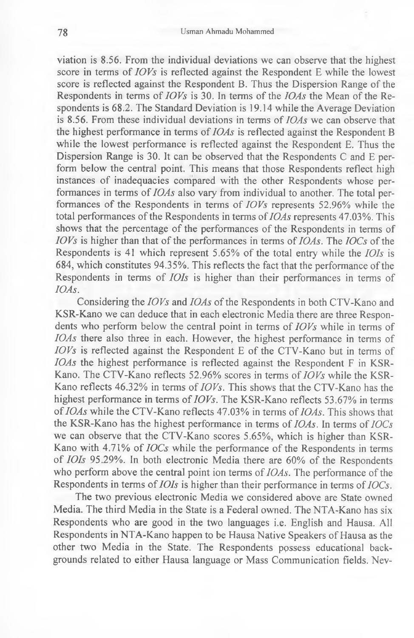viation is 8.56. From the individual deviations we can observe that the highest score in terms of *IOVs* is reflected against the Respondent E while the lowest score is reflected against the Respondent B. Thus the Dispersion Range of the Respondents in terms of *IOVs* is 30. In terms of the *IOAs* the Mean of the Respondents is 68.2. The Standard Deviation is 19.14 while the Average Deviation is 8.56. From these individual deviations in terms of *IOAs* we can observe that the highest performance in terms of *IOAs* is reflected against the Respondent B while the lowest performance is reflected against the Respondent E. Thus the Dispersion Range is 30. It can be observed that the Respondents C and E perform below the central point. This means that those Respondents reflect high instances of inadequacies compared with the other Respondents whose performances in terms of *IOAs* also vary from individual to another. The total performances of the Respondents in terms of *IOVs* represents 52.96% while the total performances of the Respondents in terms of *IOAs* represents 47.03%. This shows that the percentage of the performances of the Respondents in terms of *IOVs* is higher than that of the performances in terms of *IOAs.* The *IOCs* of the Respondents is 41 which represent 5.65% of the total entry while the *IOIs* is 684, which constitutes 94.35%. This reflects the fact that the performance of the Respondents in terms of *IOIs* is higher than their performances in terms of *IOAs.*

Considering the *IOVs* and *IOAs* of the Respondents in both CTV-Kano and KSR-Kano we can deduce that in each electronic Media there are three Respondents who perform below the central point in terms of *IOVs* while in terms of *IOAs* there also three in each. However, the highest performance in terms of *IOVs* is reflected against the Respondent E of the CTV-Kano but in terms of *IOAs* the highest performance is reflected against the Respondent F in KSR-Kano. The CTV-Kano reflects 52.96% scores in terms of *IOVs* while the KSR-Kano reflects 46.32% in terms of *IOVs.* This shows that the CTV-Kano has the highest performance in terms of *IOVs*. The KSR-Kano reflects 53.67% in terms of *IOAs* while the CTV-Kano reflects 47.03% in terms of *IOAs.* This shows that the KSR-Kano has the highest performance in terms of *IOAs.* In terms of *IOCs* we can observe that the CTV-Kano scores 5.65%, which is higher than KSR-Kano with 4.71% of *IOCs* while the performance of the Respondents in terms of *IOIs* 95.29%. In both electronic Media there are 60% of the Respondents who perform above the central point ion terms of *IOAs.* The performance of the Respondents in terms of *IOIs* is higher than their performance in terms of *IOCs.*

The two previous electronic Media we considered above are State owned Media. The third Media in the State is a Federal owned. The NTA-Kano has six Respondents who are good in the two languages i.e. English and Hausa. All Respondents in NTA-Kano happen to be Hausa Native Speakers of Hausa as the other two Media in the State. The Respondents possess educational backgrounds related to either Hausa language or Mass Communication fields. Nev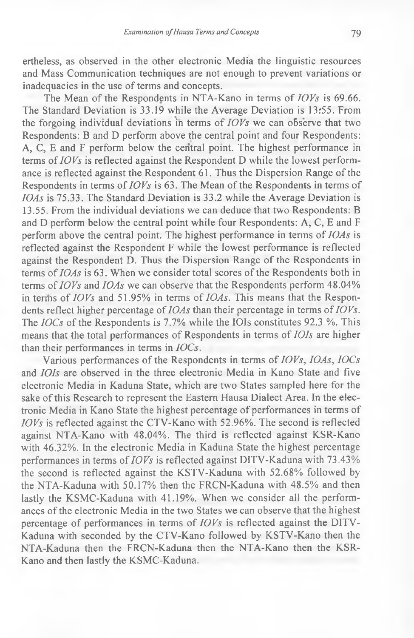ertheless, as observed in the other electronic Media the linguistic resources and Mass Communication techniques are not enough to prevent variations or inadequacies in the use of terms and concepts.

The Mean of the Respondents in NTA-Kano in terms of *IOVs* is 69.66. The Standard Deviation is 33.19 while the Average Deviation is 13r55. From the forgoing individual deviations in terms of  $IOVs$  we can observe that two Respondents: B and D perform above the central point and four Respondents: A, C, E and F perform below the central point. The highest performance in terms of *IOVs* is reflected against the Respondent D while the lowest performance is reflected against the Respondent 61. Thus the Dispersion Range of the Respondents in terms of  $IOVs$  is 63. The Mean of the Respondents in terms of *IOAs* is 75.33. The Standard Deviation is 33.2 while the Average Deviation is 13.55. From the individual deviations we can deduce that two Respondents: B and D perform below the central point while four Respondents: A, C, E and F perform above the central point. The highest performance in terms of *IOAs* is reflected against the Respondent F while the lowest performance is reflected against the Respondent D. Thus the Dispersion Range of the Respondents in terms of *IOAs* is 63. When we consider total scores of the Respondents both in terms of *IOVs* and *IOAs* we can observe that the Respondents perform 48.04% in terms of *IOVs* and 51.95% in terms of *IOAs.* This means that the Respondents reflect higher percentage of *IOAs* than their percentage in terms of *IOVs.* The *IOCs* of the Respondents is 7.7% while the IOIs constitutes 92.3 %. This means that the total performances of Respondents in terms of *IOIs* are higher than their performances in terms in *IOCs.*

Various performances of the Respondents in terms of *IOVs, IOAs, IOCs* and *IOIs* are observed in the three electronic Media in Kano State and five electronic Media in Kaduna State, which are two States sampled here for the sake of this Research to represent the Eastern Hausa Dialect Area. In the electronic Media in Kano State the highest percentage of performances in terms of *IOVs* is reflected against the CTV-Kano with 52.96%. The second is reflected against NTA-Kano with 48.04%. The third is reflected against KSR-Kano with 46.32%. In the electronic Media in Kaduna State the highest percentage performances in terms of *IOVs* is reflected against DITV-Kaduna with 73.43% the second is reflected against the KSTV-Kaduna with 52.68% followed by the NTA-Kaduna with 50.17% then the FRCN-Kaduna with 48.5% and then lastly the KSMC-Kaduna with 41.19%. When we consider all the performances of the electronic Media in the two States we can observe that the highest percentage of performances in terms of *IOVs* is reflected against the DITV-Kaduna with seconded by the CTV-Kano followed by KSTV-Kano then the NTA-Kaduna then the FRCN-Kaduna then the NTA-Kano then the KSR-Kano and then lastly the KSMC-Kaduna.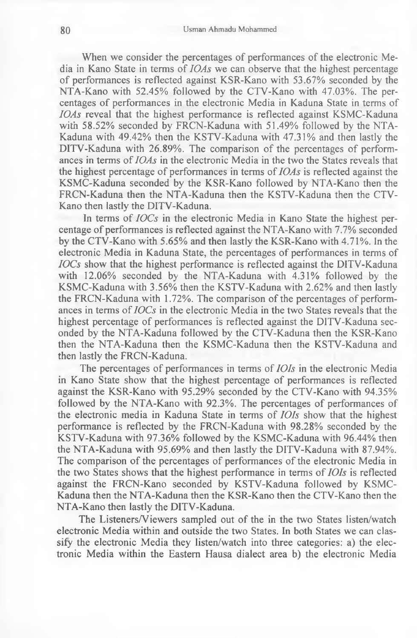When we consider the percentages of performances of the electronic Media in Kano State in terms of *IOAs* we can observe that the highest percentage of performances is reflected against KSR-Kano with 53.67% seconded by the NTA-Kano with 52.45% followed by the CTV-Kano with 47.03%. The percentages of performances in the electronic Media in Kaduna State in terms of *IOAs* reveal that the highest performance is reflected against KSMC-Kaduna with 58.52% seconded by FRCN-Kaduna with 51.49% followed by the NTA-Kaduna with 49.42% then the KSTV-Kaduna with 47.31% and then lastly the DITV-Kaduna with 26.89%. The comparison of the percentages of performances in terms of *IOAs* in the electronic Media in the two the States reveals that the highest percentage of performances in terms of *IOAs* is reflected against the KSMC-Kaduna seconded by the KSR-Kano followed by NTA-Kano then the FRCN-Kaduna then the NTA-Kaduna then the KSTV-Kaduna then the CTV-Kano then lastly the DITV-Kaduna.

In terms of *IOCs* in the electronic Media in Kano State the highest percentage of performances is reflected against the NTA-Kano with 7.7% seconded by the CTV-Kano with 5.65% and then lastly the KSR-Kano with 4.71%. In the electronic Media in Kaduna State, the percentages of performances in terms of *IOCs* show that the highest performance is reflected against the DITV-Kaduna with 12.06% seconded by the NTA-Kaduna with 4.31% followed by the KSMC-Kaduna with 3.56% then the KSTV-Kaduna with 2.62% and then lastly the FRCN-Kaduna with 1.72%. The comparison of the percentages of performances in terms of *IOCs* in the electronic Media in the two States reveals that the highest percentage of performances is reflected against the DITV-Kaduna seconded by the NTA-Kaduna followed by the CTV-Kaduna then the KSR-Kano then the NTA-Kaduna then the KSMC-Kaduna then the KSTV-Kaduna and then lastly the FRCN-Kaduna.

The percentages of performances in terms of *IOIs* in the electronic Media in Kano State show that the highest percentage of performances is reflected against the KSR-Kano with 95.29% seconded by the CTV-Kano with 94.35% followed by the NTA-Kano with 92.3%. The percentages of performances of the electronic media in Kaduna State in terms of *IOIs* show that the highest performance is reflected by the FRCN-Kaduna with 98.28% seconded by the KSTV-Kaduna with 97.36% followed by the KSMC-Kaduna with 96.44% then the NTA-Kaduna with 95.69% and then lastly the DITV-Kaduna with 87.94%. The comparison of the percentages of performances of the electronic Media in the two States shows that the highest performance in terms of *IOIs* is reflected against the FRCN-Kano seconded by KSTV-Kaduna followed by KSMC-Kaduna then the NTA-Kaduna then the KSR-Kano then the CTV-Kano then the NTA-Kano then lastly the DITV-Kaduna.

The Listeners/Viewers sampled out of the in the two States listen/watch electronic Media within and outside the two States. In both States we can classify the electronic Media they listen/watch into three categories: a) the electronic Media within the Eastern Hausa dialect area b) the electronic Media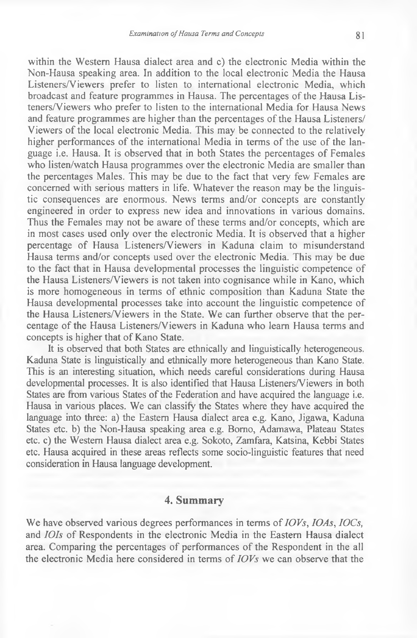within the Western Hausa dialect area and c) the electronic Media within the Non-Hausa speaking area. In addition to the local electronic Media the Hausa Listeners/Viewers prefer to listen to international electronic Media, which broadcast and feature programmes in Hausa. The percentages of the Hausa Listeners/Viewers who prefer to listen to the international Media for Hausa News and feature programmes are higher than the percentages of the Hausa Listeners/ Viewers of the local electronic Media. This may be connected to the relatively higher performances of the international Media in terms of the use of the language i.e. Hausa. It is observed that in both States the percentages of Females who listen/watch Hausa programmes over the electronic Media are smaller than the percentages Males. This may be due to the fact that very few Females are concerned with serious matters in life. Whatever the reason may be the linguistic consequences are enormous. News terms and/or concepts are constantly engineered in order to express new idea and innovations in various domains. Thus the Females may not be aware of these terms and/or concepts, which are in most cases used only over the electronic Media. It is observed that a higher percentage of Hausa Listeners/Viewers in Kaduna claim to misunderstand Hausa terms and/or concepts used over the electronic Media. This may be due to the fact that in Hausa developmental processes the linguistic competence of the Hausa Listeners/Viewers is not taken into cognisance while in Kano, which is more homogeneous in terms of ethnic composition than Kaduna State the Hausa developmental processes take into account the linguistic competence of the Hausa Listeners/Viewers in the State. We can further observe that the percentage of the Hausa Listeners/Viewers in Kaduna who learn Hausa terms and concepts is higher that of Kano State.

It is observed that both States are ethnically and linguistically heterogeneous. Kaduna State is linguistically and ethnically more heterogeneous than Kano State. This is an interesting situation, which needs careful considerations during Hausa developmental processes. It is also identified that Hausa Listeners/Viewers in both States are from various States of the Federation and have acquired the language i.e. Hausa in various places. We can classify the States where they have acquired the language into three: a) the Eastern Hausa dialect area e.g. Kano, Jigawa, Kaduna States etc. b) the Non-Hausa speaking area e.g. Bomo, Adamawa, Plateau States etc. c) the Western Hausa dialect area e.g. Sokoto, Zamfara, Katsina, Kebbi States etc. Hausa acquired in these areas reflects some socio-linguistic features that need consideration in Hausa language development.

## **4. Summary**

We have observed various degrees performances in terms of *IOVs, IOAs, IOCs,* and *IOls* of Respondents in the electronic Media in the Eastern Hausa dialect area. Comparing the percentages of performances of the Respondent in the all the electronic Media here considered in terms of *IOVs* we can observe that the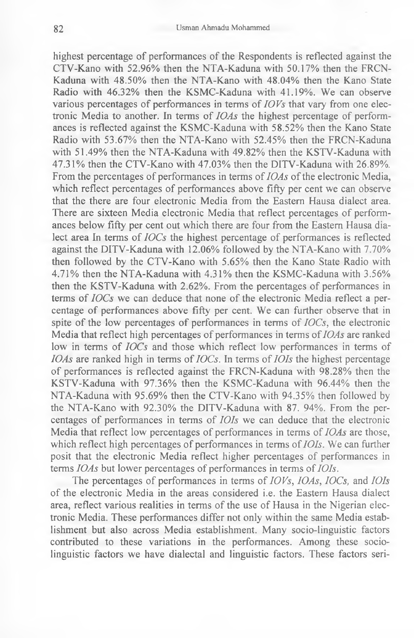highest percentage of performances of the Respondents is reflected against the CTV-Kano with 52.96% then the NTA-Kaduna with 50.17% then the FRCN-Kaduna with 48.50% then the NTA-Kano with 48.04% then the Kano State Radio with 46.32% then the KSMC-Kaduna with 41.19%. We can observe various percentages of performances in terms of *IOVs* that vary from one electronic Media to another. In terms of *IOAs* the highest percentage of performances is reflected against the KSMC-Kaduna with 58.52% then the Kano State Radio with 53.67% then the NTA-Kano with 52.45% then the FRCN-Kaduna with 51.49% then the NTA-Kaduna with 49.82% then the KSTV-Kaduna with 47.31% then the CTV-Kano with 47.03% then the DITV-Kaduna with 26.89%. From the percentages of performances in terms of *IOAs* of the electronic Media, which reflect percentages of performances above **fifty** per cent we can observe that the there are four electronic Media from the Eastern Hausa dialect area. There are sixteen Media electronic Media that reflect percentages of performances below **fifty** per cent out which there are four from the Eastern Hausa dialect area In terms of *IOCs* the highest percentage of performances is reflected against the DITV-Kaduna with 12.06% followed by the NTA-Kano with 7.70% then followed by the CTV-Kano with 5.65% then the Kano State Radio with 4.71% then the NTA-Kaduna with 4.31% then the KSMC-Kaduna with 3.56% then the KSTV-Kaduna with 2.62%. From the percentages of performances in terms of *IOCs* we can deduce that none of the electronic Media reflect a percentage of performances above **fifty** per cent. We can further observe that in spite of the low percentages of performances in terms of *IOCs,* the electronic Media that reflect high percentages of performances in terms of *IOAs* are ranked low in terms of *IOCs* and those which reflect low performances in terms of *IOAs* are ranked high in terms of *IOCs.* In terms of *IOIs* the highest percentage of performances is reflected against the FRCN-Kaduna with 98.28% then the KSTV-Kaduna with 97.36% then the KSMC-Kaduna with 96.44% then the NTA-Kaduna with 95.69% then the CTV-Kano with 94.35% then followed by the NTA-Kano with 92.30% the DITV-Kaduna with 87. 94%. From the percentages of performances in terms of *IOIs* we can deduce that the electronic Media that reflect low percentages of performances in terms of *IOAs* are those, which reflect high percentages of performances in terms of *IOIs.* We can further posit that the electronic Media reflect higher percentages of performances in terms *IOAs* but lower percentages of performances in terms of *IOIs.*

The percentages of performances in terms of *IOVs, IOAs, IOCs,* and *IOIs* of the electronic Media in the areas considered i.e. the Eastern Hausa dialect area, reflect various realities in terms of the use of Hausa in the Nigerian electronic Media. These performances differ not only within the same Media establishment but also across Media establishment. Many socio-linguistic factors contributed to these variations in the performances. Among these sociolinguistic factors we have dialectal and linguistic factors. These factors seri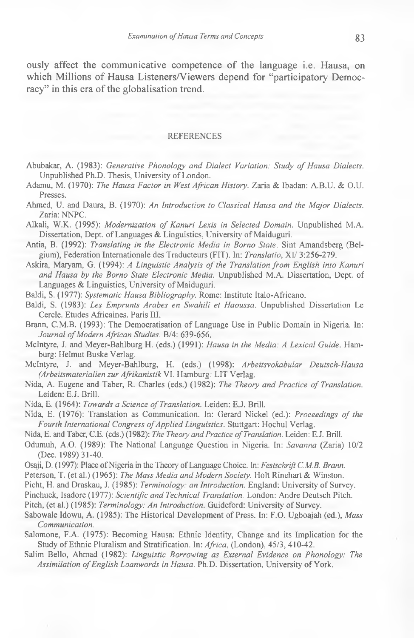ously affect the communicative competence of the language i.e. Hausa, on which Millions of Hausa Listeners/Viewers depend for "participatory Democracy" in this era of the globalisation trend.

#### REFERENCES

- Abubakar, A. (1983): *Generative Phonology and Dialect Variation: Study of Hausa Dialects.* Unpublished Ph.D. Thesis, University of London.
- Adamu, M. (1970): *The Hausa Factor in West African History.* Zaria & Ibadan: A.B.U. & O.U. Presses.
- Ahmed, U. and Daura, B. (1970): *An Introduction to Classical Hausa and the Major Dialects. Zaria:* NNPC.
- Alkali, W.K. (1995): *Modernization of Kanuri Lexis in Selected Domain*. Unpublished M.A. Dissertation, Dept, of Languages & Linguistics, University of Maiduguri.
- Antia, B. (1992): *Translating in the Electronic Media in Borno State.* Sint Amandsberg (Belgium), Federation Internationale des Traducteurs (FIT). In: *Translatio,* XI/ 3:256-279.
- Askira, Maryam, G. (1994): *A Linguistic Analysis of the Translation from English into Kanuri and Hausa by the Borno State Electronic Media.* Unpublished M.A. Dissertation, Dept, of Languages & Linguistics, University of Maiduguri.
- Baldi, S. (1977): *Systematic Hausa Bibliography.* Rome: Institute Italo-Africano.
- Baldi, S. (1983): *Les Emprunts Arabes en Swahili et Haoussa.* Unpublished Dissertation Le Cercle. Etudes Africaines. Paris III.
- Brann, C.M.B. (1993): The Democratisation of Language Use in Public Domain in Nigeria. In: Journal of Modern African Studies. B/4: 639-656.
- McIntyre, J. and Meyer-Bahlburg H. (eds.) (1991): *Hausa in the Media: A Lexical Guide.* Hamburg: Helmut Buske Verlag.
- McIntyre, J. and Meyer-Bahlburg, H. (eds.) (1998): *Arbeitsvokabular Deutsch-Hausa (Arbeitsmaterialienzur AfrikanistikW.* Hamburg: LIT Verlag.
- Nida, A. Eugene and Taber, R. Charles (eds.) (1982): *The Theory and Practice of Translation.* Leiden: E.J. Brill.
- Nida, E. (1964): *Towards a Science of Translation.* Leiden: E.J. Brill.
- Nida, E. (1976): Translation as Communication. In: Gerard Nickel (ed.): *Proceedings of the* Fourth International Congress of Applied Linguistics. Stuttgart: Hochul Verlag.
- Nida, E. and Taber, C.E. (eds.) (1982): *The Theory and Practice of Translation.* Leiden: E.J. Brill.
- Odumuh, A.O. (1989): The National Language Question in Nigeria. In: *Savanna* (Zaria) 10/2 (Dec. 1989) 31-40.
- Osaji, D. (1997): Place of Nigeria in the Theory of Language Choice. In: *Festschrift C.M.B. Brann.*
- Peterson, T. (et al.) (1965): *The Mass Media and Modern Society.* Holt Rinehart & Winston.
- Picht, H. and Draskau, J. (1985): *Terminology: an Introduction.* England: University of Survey.
- Pinchuck, Isadore (1977): *Scientific and Technical Translation.* London: Andre Deutsch Pitch.
- Pitch, (et al.) (1985): *Terminology: An Introduction.* Guideford: University of Survey.
- Sabowale Idowu, A. (1985): The Historical Development of Press. In: F.O. Ugboajah (ed.), *Mass Communication.*
- Salomone, F.A. (1975): Becoming Hausa: Ethnic Identity, Change and its Implication for the Study of Ethnic Pluralism and Stratification. In: *Africa*, (London), 45/3, 410-42.
- Salim Bello, Ahmad (1982): *Linguistic Borrowing as External Evidence on Phonology: The Assimilation of English Loanwords in Hausa.* Ph.D. Dissertation, University of York.